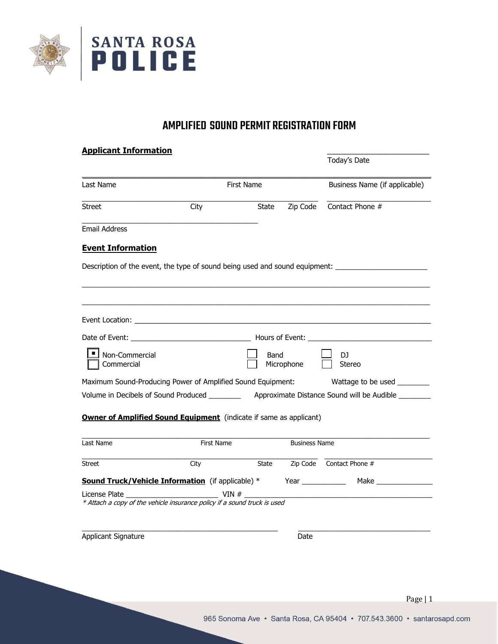

# AMPLIFIED SOUND PERMIT REGISTRATION FORM

| <u> Applicant Information</u> |      |                                                                                                                                                                                                                                |                                                                                     |                                                                           |                                                                                                           |
|-------------------------------|------|--------------------------------------------------------------------------------------------------------------------------------------------------------------------------------------------------------------------------------|-------------------------------------------------------------------------------------|---------------------------------------------------------------------------|-----------------------------------------------------------------------------------------------------------|
|                               |      |                                                                                                                                                                                                                                |                                                                                     |                                                                           | Today's Date                                                                                              |
|                               |      | First Name                                                                                                                                                                                                                     |                                                                                     | Business Name (if applicable)                                             |                                                                                                           |
|                               | City |                                                                                                                                                                                                                                | State                                                                               | Zip Code                                                                  | Contact Phone #                                                                                           |
|                               |      |                                                                                                                                                                                                                                |                                                                                     |                                                                           |                                                                                                           |
|                               |      |                                                                                                                                                                                                                                |                                                                                     |                                                                           |                                                                                                           |
|                               |      |                                                                                                                                                                                                                                |                                                                                     |                                                                           | Description of the event, the type of sound being used and sound equipment: _______________________       |
|                               |      |                                                                                                                                                                                                                                |                                                                                     |                                                                           |                                                                                                           |
|                               |      |                                                                                                                                                                                                                                |                                                                                     |                                                                           |                                                                                                           |
|                               |      | Event Location: will be a series of the contract of the contract of the contract of the contract of the contract of the contract of the contract of the contract of the contract of the contract of the contract of the contra |                                                                                     |                                                                           |                                                                                                           |
|                               |      |                                                                                                                                                                                                                                |                                                                                     |                                                                           |                                                                                                           |
|                               |      |                                                                                                                                                                                                                                | Band                                                                                | Microphone                                                                | DJ.<br>Stereo                                                                                             |
|                               |      |                                                                                                                                                                                                                                | Maximum Sound-Producing Power of Amplified Sound Equipment:                         |                                                                           | Wattage to be used                                                                                        |
|                               |      |                                                                                                                                                                                                                                |                                                                                     |                                                                           | Volume in Decibels of Sound Produced _______________ Approximate Distance Sound will be Audible _________ |
|                               |      |                                                                                                                                                                                                                                |                                                                                     | <b>Owner of Amplified Sound Equipment</b> (indicate if same as applicant) |                                                                                                           |
|                               |      |                                                                                                                                                                                                                                |                                                                                     |                                                                           |                                                                                                           |
|                               |      | First Name                                                                                                                                                                                                                     |                                                                                     | <b>Business Name</b>                                                      |                                                                                                           |
|                               | City |                                                                                                                                                                                                                                | State                                                                               |                                                                           | Zip Code Contact Phone #                                                                                  |
|                               |      |                                                                                                                                                                                                                                | <b>Sound Truck/Vehicle Information</b> (if applicable) *                            | Year $\qquad$                                                             |                                                                                                           |
|                               |      |                                                                                                                                                                                                                                | VIN $#$<br>* Attach a copy of the vehicle insurance policy if a sound truck is used |                                                                           |                                                                                                           |
|                               |      |                                                                                                                                                                                                                                |                                                                                     | Date                                                                      |                                                                                                           |
|                               |      |                                                                                                                                                                                                                                |                                                                                     |                                                                           |                                                                                                           |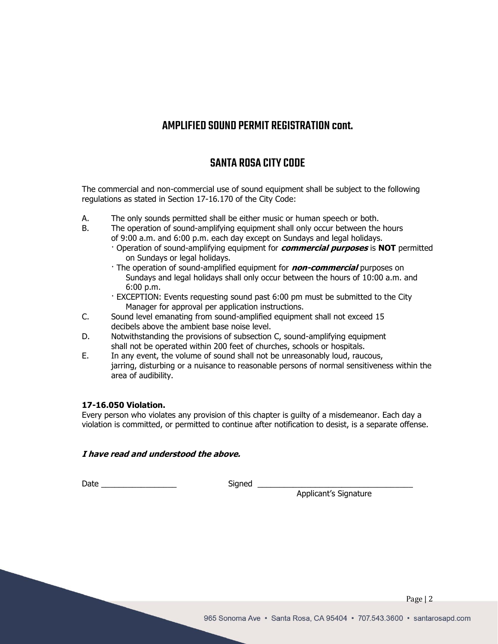# AMPLIFIED SOUND PERMIT REGISTRATION cont.

# SANTA ROSA CITY CODE

The commercial and non-commercial use of sound equipment shall be subject to the following regulations as stated in Section 17-16.170 of the City Code:

- A. The only sounds permitted shall be either music or human speech or both.
- B. The operation of sound-amplifying equipment shall only occur between the hours of 9:00 a.m. and 6:00 p.m. each day except on Sundays and legal holidays.
	- · Operation of sound-amplifying equipment for **commercial purposes** is **NOT** permitted on Sundays or legal holidays.
	- · The operation of sound-amplified equipment for **non-commercial** purposes on Sundays and legal holidays shall only occur between the hours of 10:00 a.m. and 6:00 p.m.
	- · EXCEPTION: Events requesting sound past 6:00 pm must be submitted to the City Manager for approval per application instructions.
- C. Sound level emanating from sound-amplified equipment shall not exceed 15 decibels above the ambient base noise level.
- D. Notwithstanding the provisions of subsection C, sound-amplifying equipment shall not be operated within 200 feet of churches, schools or hospitals.
- E. In any event, the volume of sound shall not be unreasonably loud, raucous, jarring, disturbing or a nuisance to reasonable persons of normal sensitiveness within the area of audibility.

# **17-16.050 Violation.**

Every person who violates any provision of this chapter is guilty of a misdemeanor. Each day a violation is committed, or permitted to continue after notification to desist, is a separate offense.

# **I have read and understood the above.**

Date \_\_\_\_\_\_\_\_\_\_\_\_\_\_\_\_\_ Signed \_\_\_\_\_\_\_\_\_\_\_\_\_\_\_\_\_\_\_\_\_\_\_\_\_\_\_\_\_\_\_\_\_\_\_

Applicant's Signature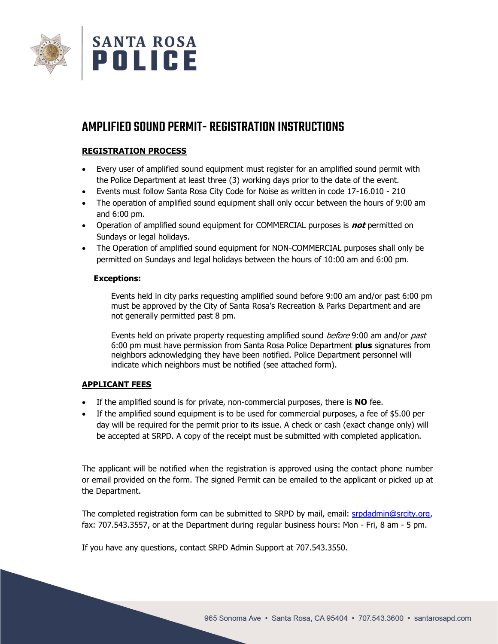

# AMPLIFIED SOUND PERMIT- REGISTRATION INSTRUCTIONS

# **REGISTRATION PROCESS**

- Every user of amplified sound equipment must register for an amplified sound permit with the Police Department at least three (3) working days prior to the date of the event.
- Events must follow Santa Rosa City Code for Noise as written in code 17-16.010 210
- The operation of amplified sound equipment shall only occur between the hours of 9:00 am and 6:00 pm.
- Operation of amplified sound equipment for COMMERCIAL purposes is **not** permitted on Sundays or legal holidays.
- The Operation of amplified sound equipment for NON-COMMERCIAL purposes shall only be permitted on Sundays and legal holidays between the hours of 10:00 am and 6:00 pm.

# **Exceptions:**

Events held in city parks requesting amplified sound before 9:00 am and/or past 6:00 pm must be approved by the City of Santa Rosa's Recreation & Parks Department and are not generally permitted past 8 pm.

Events held on private property requesting amplified sound before 9:00 am and/or past 6:00 pm must have permission from Santa Rosa Police Department **plus** signatures from neighbors acknowledging they have been notified. Police Department personnel will indicate which neighbors must be notified (see attached form).

# **APPLICANT FEES**

- If the amplified sound is for private, non-commercial purposes, there is **NO** fee.
- If the amplified sound equipment is to be used for commercial purposes, a fee of \$5.00 per day will be required for the permit prior to its issue. A check or cash (exact change only) will be accepted at SRPD. A copy of the receipt must be submitted with completed application.

The applicant will be notified when the registration is approved using the contact phone number or email provided on the form. The signed Permit can be emailed to the applicant or picked up at the Department.

The completed registration form can be submitted to SRPD by mail, email: [srpdadmin@srcity.org,](mailto:srpdadmin@srcity.org) fax: 707.543.3557, or at the Department during regular business hours: Mon - Fri, 8 am - 5 pm.

If you have any questions, contact SRPD Admin Support at 707.543.3550.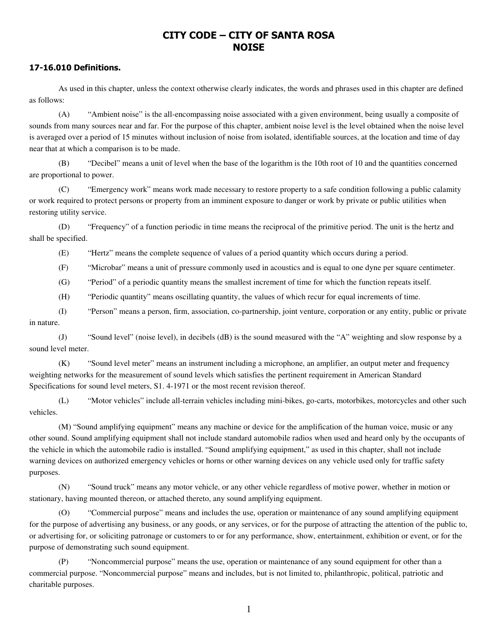# **CITY CODE – CITY OF SANTA ROSA NOISE**

# **17-16.010 Definitions.**

 As used in this chapter, unless the context otherwise clearly indicates, the words and phrases used in this chapter are defined as follows:

 (A) "Ambient noise" is the all-encompassing noise associated with a given environment, being usually a composite of sounds from many sources near and far. For the purpose of this chapter, ambient noise level is the level obtained when the noise level is averaged over a period of 15 minutes without inclusion of noise from isolated, identifiable sources, at the location and time of day near that at which a comparison is to be made.

 (B) "Decibel" means a unit of level when the base of the logarithm is the 10th root of 10 and the quantities concerned are proportional to power.

 (C) "Emergency work" means work made necessary to restore property to a safe condition following a public calamity or work required to protect persons or property from an imminent exposure to danger or work by private or public utilities when restoring utility service.

 (D) "Frequency" of a function periodic in time means the reciprocal of the primitive period. The unit is the hertz and shall be specified.

(E) "Hertz" means the complete sequence of values of a period quantity which occurs during a period.

(F) "Microbar" means a unit of pressure commonly used in acoustics and is equal to one dyne per square centimeter.

(G) "Period" of a periodic quantity means the smallest increment of time for which the function repeats itself.

(H) "Periodic quantity" means oscillating quantity, the values of which recur for equal increments of time.

 (I) "Person" means a person, firm, association, co-partnership, joint venture, corporation or any entity, public or private in nature.

 (J) "Sound level" (noise level), in decibels (dB) is the sound measured with the "A" weighting and slow response by a sound level meter.

 (K) "Sound level meter" means an instrument including a microphone, an amplifier, an output meter and frequency weighting networks for the measurement of sound levels which satisfies the pertinent requirement in American Standard Specifications for sound level meters, S1. 4-1971 or the most recent revision thereof.

 (L) "Motor vehicles" include all-terrain vehicles including mini-bikes, go-carts, motorbikes, motorcycles and other such vehicles.

 (M) "Sound amplifying equipment" means any machine or device for the amplification of the human voice, music or any other sound. Sound amplifying equipment shall not include standard automobile radios when used and heard only by the occupants of the vehicle in which the automobile radio is installed. "Sound amplifying equipment," as used in this chapter, shall not include warning devices on authorized emergency vehicles or horns or other warning devices on any vehicle used only for traffic safety purposes.

 (N) "Sound truck" means any motor vehicle, or any other vehicle regardless of motive power, whether in motion or stationary, having mounted thereon, or attached thereto, any sound amplifying equipment.

 (O) "Commercial purpose" means and includes the use, operation or maintenance of any sound amplifying equipment for the purpose of advertising any business, or any goods, or any services, or for the purpose of attracting the attention of the public to, or advertising for, or soliciting patronage or customers to or for any performance, show, entertainment, exhibition or event, or for the purpose of demonstrating such sound equipment.

 (P) "Noncommercial purpose" means the use, operation or maintenance of any sound equipment for other than a commercial purpose. "Noncommercial purpose" means and includes, but is not limited to, philanthropic, political, patriotic and charitable purposes.

1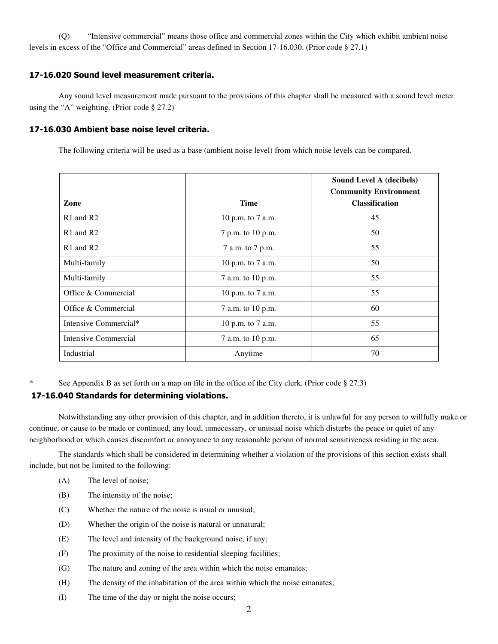(Q) "Intensive commercial" means those office and commercial zones within the City which exhibit ambient noise levels in excess of the "Office and Commercial" areas defined in Section 17-16.030. (Prior code § 27.1)

# **17-16.020 Sound level measurement criteria.**

 Any sound level measurement made pursuant to the provisions of this chapter shall be measured with a sound level meter using the "A" weighting. (Prior code § 27.2)

# **17-16.030 Ambient base noise level criteria.**

The following criteria will be used as a base (ambient noise level) from which noise levels can be compared.

|                                   |                   | Sound Level A (decibels)<br><b>Community Environment</b> |
|-----------------------------------|-------------------|----------------------------------------------------------|
| Zone                              | <b>Time</b>       | <b>Classification</b>                                    |
| R1 and R2                         | 10 p.m. to 7 a.m. | 45                                                       |
| R <sub>1</sub> and R <sub>2</sub> | 7 p.m. to 10 p.m. | 50                                                       |
| R <sub>1</sub> and R <sub>2</sub> | 7 a.m. to 7 p.m.  | 55                                                       |
| Multi-family                      | 10 p.m. to 7 a.m. | 50                                                       |
| Multi-family                      | 7 a.m. to 10 p.m. | 55                                                       |
| Office & Commercial               | 10 p.m. to 7 a.m. | 55                                                       |
| Office & Commercial               | 7 a.m. to 10 p.m. | 60                                                       |
| Intensive Commercial*             | 10 p.m. to 7 a.m. | 55                                                       |
| <b>Intensive Commercial</b>       | 7 a.m. to 10 p.m. | 65                                                       |
| Industrial                        | Anytime           | 70                                                       |

\* See Appendix B as set forth on a map on file in the office of the City clerk. (Prior code § 27.3)

# **17-16.040 Standards for determining violations.**

 Notwithstanding any other provision of this chapter, and in addition thereto, it is unlawful for any person to willfully make or continue, or cause to be made or continued, any loud, unnecessary, or unusual noise which disturbs the peace or quiet of any neighborhood or which causes discomfort or annoyance to any reasonable person of normal sensitiveness residing in the area.

 The standards which shall be considered in determining whether a violation of the provisions of this section exists shall include, but not be limited to the following:

- (A) The level of noise;
- (B) The intensity of the noise;
- (C) Whether the nature of the noise is usual or unusual;
- (D) Whether the origin of the noise is natural or unnatural;
- (E) The level and intensity of the background noise, if any;
- (F) The proximity of the noise to residential sleeping facilities;
- (G) The nature and zoning of the area within which the noise emanates;
- (H) The density of the inhabitation of the area within which the noise emanates;
- (I) The time of the day or night the noise occurs;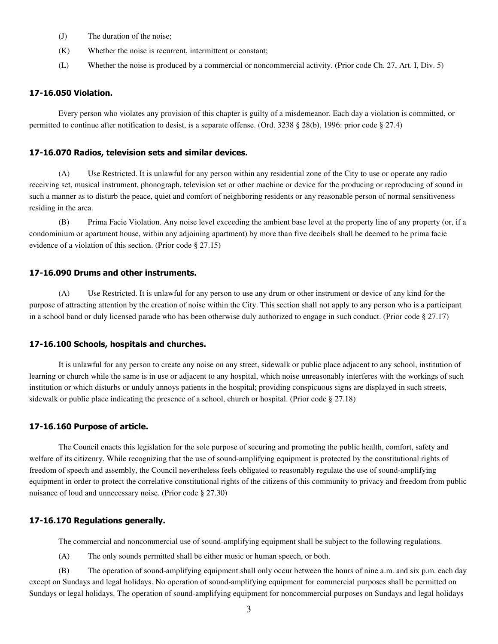- (J) The duration of the noise;
- (K) Whether the noise is recurrent, intermittent or constant;
- (L) Whether the noise is produced by a commercial or noncommercial activity. (Prior code Ch. 27, Art. I, Div. 5)

#### **17-16.050 Violation.**

 Every person who violates any provision of this chapter is guilty of a misdemeanor. Each day a violation is committed, or permitted to continue after notification to desist, is a separate offense. (Ord. 3238 § 28(b), 1996: prior code § 27.4)

#### **17-16.070 Radios, television sets and similar devices.**

 (A) Use Restricted. It is unlawful for any person within any residential zone of the City to use or operate any radio receiving set, musical instrument, phonograph, television set or other machine or device for the producing or reproducing of sound in such a manner as to disturb the peace, quiet and comfort of neighboring residents or any reasonable person of normal sensitiveness residing in the area.

 (B) Prima Facie Violation. Any noise level exceeding the ambient base level at the property line of any property (or, if a condominium or apartment house, within any adjoining apartment) by more than five decibels shall be deemed to be prima facie evidence of a violation of this section. (Prior code § 27.15)

#### **17-16.090 Drums and other instruments.**

 (A) Use Restricted. It is unlawful for any person to use any drum or other instrument or device of any kind for the purpose of attracting attention by the creation of noise within the City. This section shall not apply to any person who is a participant in a school band or duly licensed parade who has been otherwise duly authorized to engage in such conduct. (Prior code § 27.17)

## **17-16.100 Schools, hospitals and churches.**

 It is unlawful for any person to create any noise on any street, sidewalk or public place adjacent to any school, institution of learning or church while the same is in use or adjacent to any hospital, which noise unreasonably interferes with the workings of such institution or which disturbs or unduly annoys patients in the hospital; providing conspicuous signs are displayed in such streets, sidewalk or public place indicating the presence of a school, church or hospital. (Prior code § 27.18)

### **17-16.160 Purpose of article.**

 The Council enacts this legislation for the sole purpose of securing and promoting the public health, comfort, safety and welfare of its citizenry. While recognizing that the use of sound-amplifying equipment is protected by the constitutional rights of freedom of speech and assembly, the Council nevertheless feels obligated to reasonably regulate the use of sound-amplifying equipment in order to protect the correlative constitutional rights of the citizens of this community to privacy and freedom from public nuisance of loud and unnecessary noise. (Prior code § 27.30)

## **17-16.170 Regulations generally.**

The commercial and noncommercial use of sound-amplifying equipment shall be subject to the following regulations.

(A) The only sounds permitted shall be either music or human speech, or both.

 (B) The operation of sound-amplifying equipment shall only occur between the hours of nine a.m. and six p.m. each day except on Sundays and legal holidays. No operation of sound-amplifying equipment for commercial purposes shall be permitted on Sundays or legal holidays. The operation of sound-amplifying equipment for noncommercial purposes on Sundays and legal holidays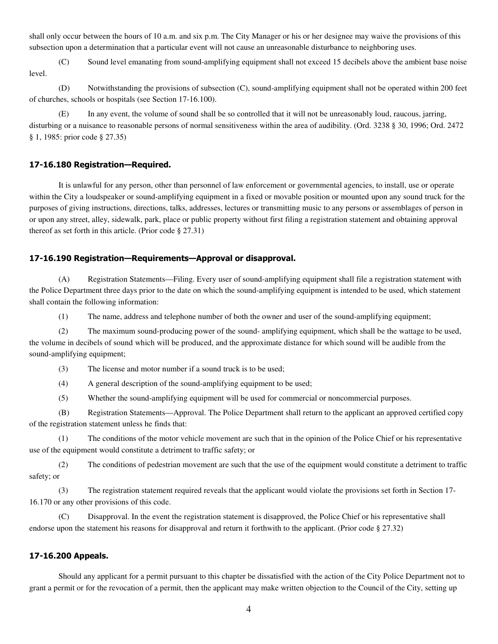shall only occur between the hours of 10 a.m. and six p.m. The City Manager or his or her designee may waive the provisions of this subsection upon a determination that a particular event will not cause an unreasonable disturbance to neighboring uses.

 (C) Sound level emanating from sound-amplifying equipment shall not exceed 15 decibels above the ambient base noise level.

 (D) Notwithstanding the provisions of subsection (C), sound-amplifying equipment shall not be operated within 200 feet of churches, schools or hospitals (see Section 17-16.100).

 (E) In any event, the volume of sound shall be so controlled that it will not be unreasonably loud, raucous, jarring, disturbing or a nuisance to reasonable persons of normal sensitiveness within the area of audibility. (Ord. 3238 § 30, 1996; Ord. 2472 § 1, 1985: prior code § 27.35)

## **17-16.180 Registration—Required.**

 It is unlawful for any person, other than personnel of law enforcement or governmental agencies, to install, use or operate within the City a loudspeaker or sound-amplifying equipment in a fixed or movable position or mounted upon any sound truck for the purposes of giving instructions, directions, talks, addresses, lectures or transmitting music to any persons or assemblages of person in or upon any street, alley, sidewalk, park, place or public property without first filing a registration statement and obtaining approval thereof as set forth in this article. (Prior code § 27.31)

### **17-16.190 Registration—Requirements—Approval or disapproval.**

 (A) Registration Statements—Filing. Every user of sound-amplifying equipment shall file a registration statement with the Police Department three days prior to the date on which the sound-amplifying equipment is intended to be used, which statement shall contain the following information:

(1) The name, address and telephone number of both the owner and user of the sound-amplifying equipment;

 (2) The maximum sound-producing power of the sound- amplifying equipment, which shall be the wattage to be used, the volume in decibels of sound which will be produced, and the approximate distance for which sound will be audible from the sound-amplifying equipment;

(3) The license and motor number if a sound truck is to be used;

(4) A general description of the sound-amplifying equipment to be used;

(5) Whether the sound-amplifying equipment will be used for commercial or noncommercial purposes.

 (B) Registration Statements—Approval. The Police Department shall return to the applicant an approved certified copy of the registration statement unless he finds that:

 (1) The conditions of the motor vehicle movement are such that in the opinion of the Police Chief or his representative use of the equipment would constitute a detriment to traffic safety; or

 (2) The conditions of pedestrian movement are such that the use of the equipment would constitute a detriment to traffic safety; or

 (3) The registration statement required reveals that the applicant would violate the provisions set forth in Section 17- 16.170 or any other provisions of this code.

 (C) Disapproval. In the event the registration statement is disapproved, the Police Chief or his representative shall endorse upon the statement his reasons for disapproval and return it forthwith to the applicant. (Prior code § 27.32)

#### **17-16.200 Appeals.**

 Should any applicant for a permit pursuant to this chapter be dissatisfied with the action of the City Police Department not to grant a permit or for the revocation of a permit, then the applicant may make written objection to the Council of the City, setting up